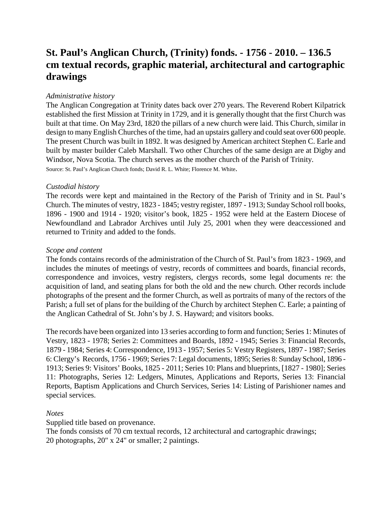# **St. Paul's Anglican Church, (Trinity) fonds. - 1756 - 2010. – 136.5 cm textual records, graphic material, architectural and cartographic drawings**

# *Administrative history*

The Anglican Congregation at Trinity dates back over 270 years. The Reverend Robert Kilpatrick established the first Mission at Trinity in 1729, and it is generally thought that the first Church was built at that time. On May 23rd, 1820 the pillars of a new church were laid. This Church, similar in design to many English Churches of the time, had an upstairs gallery and could seat over 600 people. The present Church was built in 1892. It was designed by American architect Stephen C. Earle and built by master builder Caleb Marshall. Two other Churches of the same design are at Digby and Windsor, Nova Scotia. The church serves as the mother church of the Parish of Trinity. Source: St. Paul's Anglican Church fonds; David R. L. White; Florence M. White.

# *Custodial history*

The records were kept and maintained in the Rectory of the Parish of Trinity and in St. Paul's Church. The minutes of vestry, 1823 - 1845; vestry register, 1897 - 1913; Sunday School roll books, 1896 - 1900 and 1914 - 1920; visitor's book, 1825 - 1952 were held at the Eastern Diocese of Newfoundland and Labrador Archives until July 25, 2001 when they were deaccessioned and returned to Trinity and added to the fonds.

# *Scope and content*

The fonds contains records of the administration of the Church of St. Paul's from 1823 - 1969, and includes the minutes of meetings of vestry, records of committees and boards, financial records, correspondence and invoices, vestry registers, clergys records, some legal documents re: the acquisition of land, and seating plans for both the old and the new church. Other records include photographs of the present and the former Church, as well as portraits of many of the rectors of the Parish; a full set of plans for the building of the Church by architect Stephen C. Earle; a painting of the Anglican Cathedral of St. John's by J. S. Hayward; and visitors books.

The records have been organized into 13 series according to form and function; Series 1: Minutes of Vestry, 1823 - 1978; Series 2: Committees and Boards, 1892 - 1945; Series 3: Financial Records, 1879 - 1984; Series 4: Correspondence, 1913 - 1957; Series 5: Vestry Registers, 1897 - 1987; Series 6: Clergy's Records, 1756 - 1969; Series 7: Legal documents, 1895; Series 8: Sunday School, 1896 - 1913; Series 9: Visitors' Books, 1825 - 2011; Series 10: Plans and blueprints, [1827 - 1980]; Series 11: Photographs, Series 12: Ledgers, Minutes, Applications and Reports, Series 13: Financial Reports, Baptism Applications and Church Services, Series 14: Listing of Parishioner names and special services.

# *Notes*

Supplied title based on provenance.

The fonds consists of 70 cm textual records, 12 architectural and cartographic drawings; 20 photographs, 20" x 24" or smaller; 2 paintings.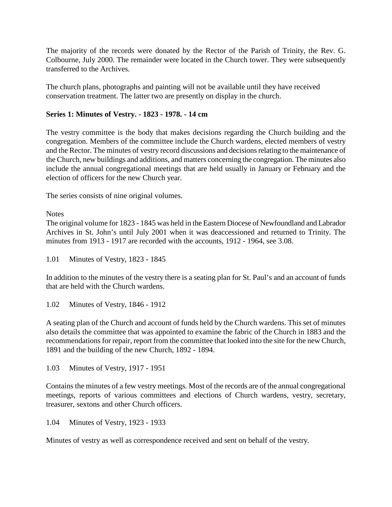The majority of the records were donated by the Rector of the Parish of Trinity, the Rev. G. Colbourne, July 2000. The remainder were located in the Church tower. They were subsequently transferred to the Archives.

The church plans, photographs and painting will not be available until they have received conservation treatment. The latter two are presently on display in the church.

# **Series 1: Minutes of Vestry. - 1823 - 1978. - 14 cm**

The vestry committee is the body that makes decisions regarding the Church building and the congregation. Members of the committee include the Church wardens, elected members of vestry and the Rector. The minutes of vestry record discussions and decisions relating to the maintenance of the Church, new buildings and additions, and matters concerning the congregation. The minutes also include the annual congregational meetings that are held usually in January or February and the election of officers for the new Church year.

The series consists of nine original volumes.

**Notes** 

The original volume for 1823 - 1845 was held in the Eastern Diocese of Newfoundland and Labrador Archives in St. John's until July 2001 when it was deaccessioned and returned to Trinity. The minutes from 1913 - 1917 are recorded with the accounts, 1912 - 1964, see 3.08.

1.01 Minutes of Vestry, 1823 - 1845

In addition to the minutes of the vestry there is a seating plan for St. Paul's and an account of funds that are held with the Church wardens.

1.02 Minutes of Vestry, 1846 - 1912

A seating plan of the Church and account of funds held by the Church wardens. This set of minutes also details the committee that was appointed to examine the fabric of the Church in 1883 and the recommendations for repair, report from the committee that looked into the site for the new Church, 1891 and the building of the new Church, 1892 - 1894.

1.03 Minutes of Vestry, 1917 - 1951

Contains the minutes of a few vestry meetings. Most of the records are of the annual congregational meetings, reports of various committees and elections of Church wardens, vestry, secretary, treasurer, sextons and other Church officers.

1.04 Minutes of Vestry, 1923 - 1933

Minutes of vestry as well as correspondence received and sent on behalf of the vestry.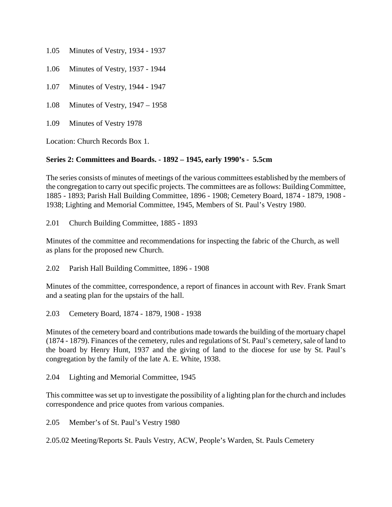- 1.05 Minutes of Vestry, 1934 1937
- 1.06 Minutes of Vestry, 1937 1944
- 1.07 Minutes of Vestry, 1944 1947
- 1.08 Minutes of Vestry, 1947 1958
- 1.09 Minutes of Vestry 1978

Location: Church Records Box 1.

# **Series 2: Committees and Boards. - 1892 – 1945, early 1990's - 5.5cm**

The series consists of minutes of meetings of the various committees established by the members of the congregation to carry out specific projects. The committees are as follows: Building Committee, 1885 - 1893; Parish Hall Building Committee, 1896 - 1908; Cemetery Board, 1874 - 1879, 1908 - 1938; Lighting and Memorial Committee, 1945, Members of St. Paul's Vestry 1980.

2.01 Church Building Committee, 1885 - 1893

Minutes of the committee and recommendations for inspecting the fabric of the Church, as well as plans for the proposed new Church.

2.02 Parish Hall Building Committee, 1896 - 1908

Minutes of the committee, correspondence, a report of finances in account with Rev. Frank Smart and a seating plan for the upstairs of the hall.

2.03 Cemetery Board, 1874 - 1879, 1908 - 1938

Minutes of the cemetery board and contributions made towards the building of the mortuary chapel (1874 - 1879). Finances of the cemetery, rules and regulations of St. Paul's cemetery, sale of land to the board by Henry Hunt, 1937 and the giving of land to the diocese for use by St. Paul's congregation by the family of the late A. E. White, 1938.

2.04 Lighting and Memorial Committee, 1945

This committee was set up to investigate the possibility of a lighting plan for the church and includes correspondence and price quotes from various companies.

2.05 Member's of St. Paul's Vestry 1980

2.05.02 Meeting/Reports St. Pauls Vestry, ACW, People's Warden, St. Pauls Cemetery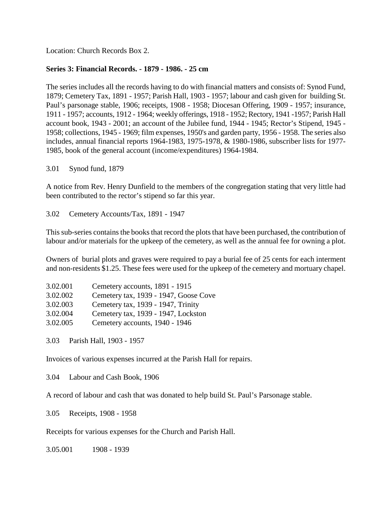Location: Church Records Box 2.

# **Series 3: Financial Records. - 1879 - 1986. - 25 cm**

The series includes all the records having to do with financial matters and consists of: Synod Fund, 1879; Cemetery Tax, 1891 - 1957; Parish Hall, 1903 - 1957; labour and cash given for building St. Paul's parsonage stable, 1906; receipts, 1908 - 1958; Diocesan Offering, 1909 - 1957; insurance, 1911 - 1957; accounts, 1912 - 1964; weekly offerings, 1918 - 1952; Rectory, 1941 -1957; Parish Hall account book, 1943 - 2001; an account of the Jubilee fund, 1944 - 1945; Rector's Stipend, 1945 - 1958; collections, 1945 - 1969; film expenses, 1950's and garden party, 1956 - 1958. The series also includes, annual financial reports 1964-1983, 1975-1978, & 1980-1986, subscriber lists for 1977- 1985, book of the general account (income/expenditures) 1964-1984.

3.01 Synod fund, 1879

A notice from Rev. Henry Dunfield to the members of the congregation stating that very little had been contributed to the rector's stipend so far this year.

3.02 Cemetery Accounts/Tax, 1891 - 1947

This sub-series contains the books that record the plots that have been purchased, the contribution of labour and/or materials for the upkeep of the cemetery, as well as the annual fee for owning a plot.

Owners of burial plots and graves were required to pay a burial fee of 25 cents for each interment and non-residents \$1.25. These fees were used for the upkeep of the cemetery and mortuary chapel.

| 3.02.001 | Cemetery accounts, 1891 - 1915        |
|----------|---------------------------------------|
| 3.02.002 | Cemetery tax, 1939 - 1947, Goose Cove |
| 3.02.003 | Cemetery tax, 1939 - 1947, Trinity    |
| 3.02.004 | Cemetery tax, 1939 - 1947, Lockston   |
| 3.02.005 | Cemetery accounts, 1940 - 1946        |

3.03 Parish Hall, 1903 - 1957

Invoices of various expenses incurred at the Parish Hall for repairs.

3.04 Labour and Cash Book, 1906

A record of labour and cash that was donated to help build St. Paul's Parsonage stable.

3.05 Receipts, 1908 - 1958

Receipts for various expenses for the Church and Parish Hall.

3.05.001 1908 - 1939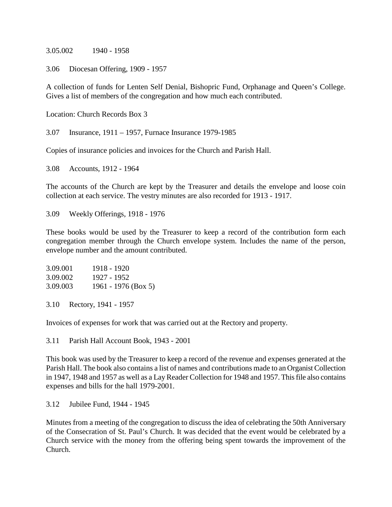3.05.002 1940 - 1958

3.06 Diocesan Offering, 1909 - 1957

A collection of funds for Lenten Self Denial, Bishopric Fund, Orphanage and Queen's College. Gives a list of members of the congregation and how much each contributed.

Location: Church Records Box 3

3.07 Insurance, 1911 – 1957, Furnace Insurance 1979-1985

Copies of insurance policies and invoices for the Church and Parish Hall.

3.08 Accounts, 1912 - 1964

The accounts of the Church are kept by the Treasurer and details the envelope and loose coin collection at each service. The vestry minutes are also recorded for 1913 - 1917.

3.09 Weekly Offerings, 1918 - 1976

These books would be used by the Treasurer to keep a record of the contribution form each congregation member through the Church envelope system. Includes the name of the person, envelope number and the amount contributed.

| 3.09.001 | 1918 - 1920         |
|----------|---------------------|
| 3.09.002 | 1927 - 1952         |
| 3.09.003 | 1961 - 1976 (Box 5) |

3.10 Rectory, 1941 - 1957

Invoices of expenses for work that was carried out at the Rectory and property.

3.11 Parish Hall Account Book, 1943 - 2001

This book was used by the Treasurer to keep a record of the revenue and expenses generated at the Parish Hall. The book also contains a list of names and contributions made to an Organist Collection in 1947, 1948 and 1957 as well as a Lay Reader Collection for 1948 and 1957. This file also contains expenses and bills for the hall 1979-2001.

3.12 Jubilee Fund, 1944 - 1945

Minutes from a meeting of the congregation to discuss the idea of celebrating the 50th Anniversary of the Consecration of St. Paul's Church. It was decided that the event would be celebrated by a Church service with the money from the offering being spent towards the improvement of the Church.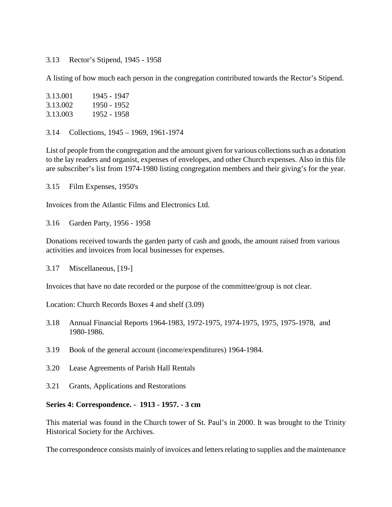#### 3.13 Rector's Stipend, 1945 - 1958

A listing of how much each person in the congregation contributed towards the Rector's Stipend.

| 3.13.001 | 1945 - 1947 |
|----------|-------------|
| 3.13.002 | 1950 - 1952 |
| 3.13.003 | 1952 - 1958 |

3.14 Collections, 1945 – 1969, 1961-1974

List of people from the congregation and the amount given for various collections such as a donation to the lay readers and organist, expenses of envelopes, and other Church expenses. Also in this file are subscriber's list from 1974-1980 listing congregation members and their giving's for the year.

3.15 Film Expenses, 1950's

Invoices from the Atlantic Films and Electronics Ltd.

3.16 Garden Party, 1956 - 1958

Donations received towards the garden party of cash and goods, the amount raised from various activities and invoices from local businesses for expenses.

3.17 Miscellaneous, [19-]

Invoices that have no date recorded or the purpose of the committee/group is not clear.

Location: Church Records Boxes 4 and shelf (3.09)

- 3.18 Annual Financial Reports 1964-1983, 1972-1975, 1974-1975, 1975, 1975-1978, and 1980-1986.
- 3.19 Book of the general account (income/expenditures) 1964-1984.
- 3.20 Lease Agreements of Parish Hall Rentals
- 3.21 Grants, Applications and Restorations

#### **Series 4: Correspondence. - 1913 - 1957. - 3 cm**

This material was found in the Church tower of St. Paul's in 2000. It was brought to the Trinity Historical Society for the Archives.

The correspondence consists mainly of invoices and letters relating to supplies and the maintenance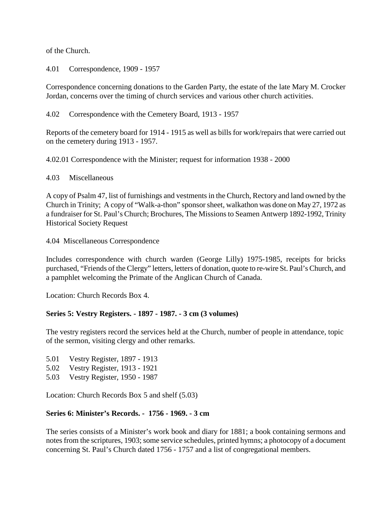of the Church.

4.01 Correspondence, 1909 - 1957

Correspondence concerning donations to the Garden Party, the estate of the late Mary M. Crocker Jordan, concerns over the timing of church services and various other church activities.

4.02 Correspondence with the Cemetery Board, 1913 - 1957

Reports of the cemetery board for 1914 - 1915 as well as bills for work/repairs that were carried out on the cemetery during 1913 - 1957.

4.02.01 Correspondence with the Minister; request for information 1938 - 2000

4.03 Miscellaneous

A copy of Psalm 47, list of furnishings and vestments in the Church, Rectory and land owned by the Church in Trinity; A copy of "Walk-a-thon" sponsor sheet, walkathon was done on May 27, 1972 as a fundraiser for St. Paul's Church; Brochures, The Missions to Seamen Antwerp 1892-1992, Trinity Historical Society Request

4.04 Miscellaneous Correspondence

Includes correspondence with church warden (George Lilly) 1975-1985, receipts for bricks purchased, "Friends of the Clergy" letters, letters of donation, quote to re-wire St. Paul's Church, and a pamphlet welcoming the Primate of the Anglican Church of Canada.

Location: Church Records Box 4.

#### **Series 5: Vestry Registers. - 1897 - 1987. - 3 cm (3 volumes)**

The vestry registers record the services held at the Church, number of people in attendance, topic of the sermon, visiting clergy and other remarks.

- 5.01 Vestry Register, 1897 1913
- 5.02 Vestry Register, 1913 1921
- 5.03 Vestry Register, 1950 1987

Location: Church Records Box 5 and shelf (5.03)

#### **Series 6: Minister's Records. - 1756 - 1969. - 3 cm**

The series consists of a Minister's work book and diary for 1881; a book containing sermons and notes from the scriptures, 1903; some service schedules, printed hymns; a photocopy of a document concerning St. Paul's Church dated 1756 - 1757 and a list of congregational members.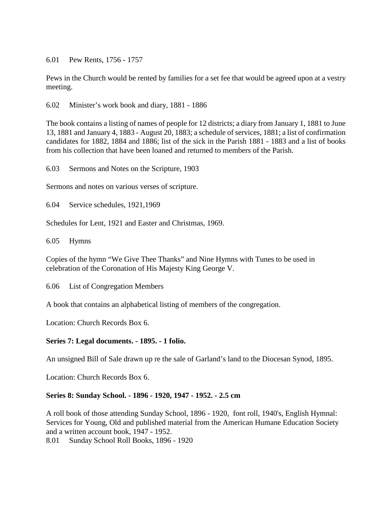6.01 Pew Rents, 1756 - 1757

Pews in the Church would be rented by families for a set fee that would be agreed upon at a vestry meeting.

6.02 Minister's work book and diary, 1881 - 1886

The book contains a listing of names of people for 12 districts; a diary from January 1, 1881 to June 13, 1881 and January 4, 1883 - August 20, 1883; a schedule of services, 1881; a list of confirmation candidates for 1882, 1884 and 1886; list of the sick in the Parish 1881 - 1883 and a list of books from his collection that have been loaned and returned to members of the Parish.

6.03 Sermons and Notes on the Scripture, 1903

Sermons and notes on various verses of scripture.

6.04 Service schedules, 1921,1969

Schedules for Lent, 1921 and Easter and Christmas, 1969.

6.05 Hymns

Copies of the hymn "We Give Thee Thanks" and Nine Hymns with Tunes to be used in celebration of the Coronation of His Majesty King George V.

6.06 List of Congregation Members

A book that contains an alphabetical listing of members of the congregation.

Location: Church Records Box 6.

#### **Series 7: Legal documents. - 1895. - 1 folio.**

An unsigned Bill of Sale drawn up re the sale of Garland's land to the Diocesan Synod, 1895.

Location: Church Records Box 6.

#### **Series 8: Sunday School. - 1896 - 1920, 1947 - 1952. - 2.5 cm**

A roll book of those attending Sunday School, 1896 - 1920, font roll, 1940's, English Hymnal: Services for Young, Old and published material from the American Humane Education Society and a written account book, 1947 - 1952.

8.01 Sunday School Roll Books, 1896 - 1920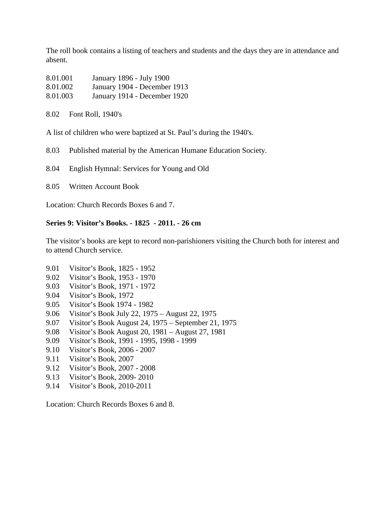The roll book contains a listing of teachers and students and the days they are in attendance and absent.

| 8.01.001 | January 1896 - July 1900     |
|----------|------------------------------|
| 8.01.002 | January 1904 - December 1913 |
| 8.01.003 | January 1914 - December 1920 |

8.02 Font Roll, 1940's

A list of children who were baptized at St. Paul's during the 1940's.

8.03 Published material by the American Humane Education Society.

8.04 English Hymnal: Services for Young and Old

8.05 Written Account Book

Location: Church Records Boxes 6 and 7.

# **Series 9: Visitor's Books. - 1825 - 2011. - 26 cm**

The visitor's books are kept to record non-parishioners visiting the Church both for interest and to attend Church service.

- 9.01 Visitor's Book, 1825 1952
- 9.02 Visitor's Book, 1953 1970
- 9.03 Visitor's Book, 1971 1972
- 9.04 Visitor's Book, 1972
- 9.05 Visitor's Book 1974 1982
- 9.06 Visitor's Book July 22, 1975 August 22, 1975
- 9.07 Visitor's Book August 24, 1975 September 21, 1975
- 9.08 Visitor's Book August 20, 1981 August 27, 1981
- 9.09 Visitor's Book, 1991 1995, 1998 1999
- 9.10 Visitor's Book, 2006 2007
- 9.11 Visitor's Book, 2007
- 9.12 Visitor's Book, 2007 2008
- 9.13 Visitor's Book, 2009- 2010
- 9.14 Visitor's Book, 2010-2011

Location: Church Records Boxes 6 and 8.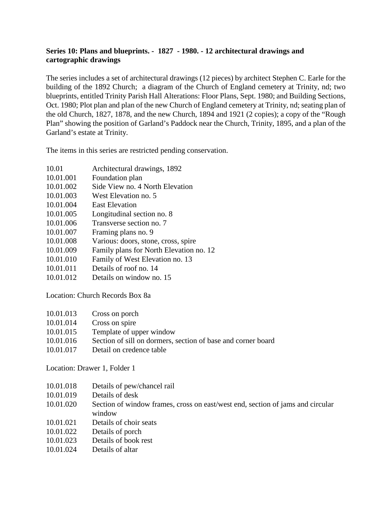# **Series 10: Plans and blueprints. - 1827 - 1980. - 12 architectural drawings and cartographic drawings**

The series includes a set of architectural drawings (12 pieces) by architect Stephen C. Earle for the building of the 1892 Church; a diagram of the Church of England cemetery at Trinity, nd; two blueprints, entitled Trinity Parish Hall Alterations: Floor Plans, Sept. 1980; and Building Sections, Oct. 1980; Plot plan and plan of the new Church of England cemetery at Trinity, nd; seating plan of the old Church, 1827, 1878, and the new Church, 1894 and 1921 (2 copies); a copy of the "Rough Plan" showing the position of Garland's Paddock near the Church, Trinity, 1895, and a plan of the Garland's estate at Trinity.

The items in this series are restricted pending conservation.

- 10.01 Architectural drawings, 1892
- 10.01.001 Foundation plan
- 10.01.002 Side View no. 4 North Elevation
- 10.01.003 West Elevation no. 5
- 10.01.004 East Elevation
- 10.01.005 Longitudinal section no. 8
- 10.01.006 Transverse section no. 7
- 10.01.007 Framing plans no. 9
- 10.01.008 Various: doors, stone, cross, spire
- 10.01.009 Family plans for North Elevation no. 12
- 10.01.010 Family of West Elevation no. 13
- 10.01.011 Details of roof no. 14
- 10.01.012 Details on window no. 15

Location: Church Records Box 8a

- 10.01.013 Cross on porch
- 10.01.014 Cross on spire
- 10.01.015 Template of upper window
- 10.01.016 Section of sill on dormers, section of base and corner board
- 10.01.017 Detail on credence table

Location: Drawer 1, Folder 1

- 10.01.018 Details of pew/chancel rail
- 10.01.019 Details of desk
- 10.01.020 Section of window frames, cross on east/west end, section of jams and circular window
- 10.01.021 Details of choir seats
- 10.01.022 Details of porch
- 10.01.023 Details of book rest
- 10.01.024 Details of altar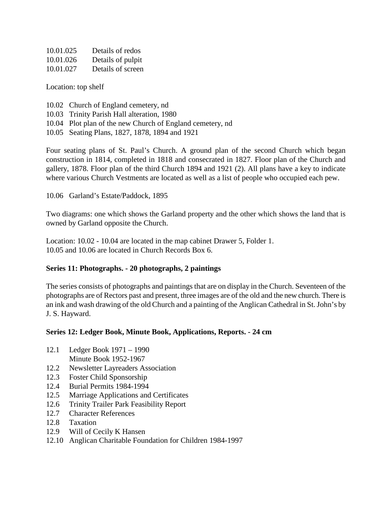| 10.01.025 | Details of redos  |
|-----------|-------------------|
| 10.01.026 | Details of pulpit |
| 10.01.027 | Details of screen |

Location: top shelf

- 10.02 Church of England cemetery, nd
- 10.03 Trinity Parish Hall alteration, 1980
- 10.04 Plot plan of the new Church of England cemetery, nd
- 10.05 Seating Plans, 1827, 1878, 1894 and 1921

Four seating plans of St. Paul's Church. A ground plan of the second Church which began construction in 1814, completed in 1818 and consecrated in 1827. Floor plan of the Church and gallery, 1878. Floor plan of the third Church 1894 and 1921 (2). All plans have a key to indicate where various Church Vestments are located as well as a list of people who occupied each pew.

10.06 Garland's Estate/Paddock, 1895

Two diagrams: one which shows the Garland property and the other which shows the land that is owned by Garland opposite the Church.

Location: 10.02 - 10.04 are located in the map cabinet Drawer 5, Folder 1. 10.05 and 10.06 are located in Church Records Box 6.

# **Series 11: Photographs. - 20 photographs, 2 paintings**

The series consists of photographs and paintings that are on display in the Church. Seventeen of the photographs are of Rectors past and present, three images are of the old and the new church. There is an ink and wash drawing of the old Church and a painting of the Anglican Cathedral in St. John's by J. S. Hayward.

#### **Series 12: Ledger Book, Minute Book, Applications, Reports. - 24 cm**

- 12.1 Ledger Book 1971 1990 Minute Book 1952-1967
- 12.2 Newsletter Layreaders Association
- 12.3 Foster Child Sponsorship
- 12.4 Burial Permits 1984-1994
- 12.5 Marriage Applications and Certificates
- 12.6 Trinity Trailer Park Feasibility Report
- 12.7 Character References
- 12.8 Taxation
- 12.9 Will of Cecily K Hansen
- 12.10 Anglican Charitable Foundation for Children 1984-1997